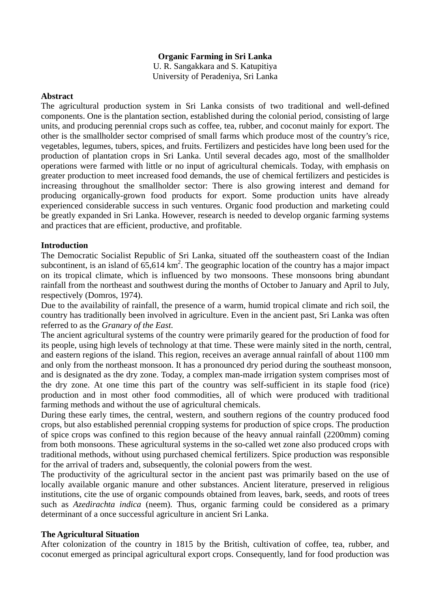### **Organic Farming in Sri Lanka**

U. R. Sangakkara and S. Katupitiya University of Peradeniya, Sri Lanka

#### **Abstract**

The agricultural production system in Sri Lanka consists of two traditional and well-defined components. One is the plantation section, established during the colonial period, consisting of large units, and producing perennial crops such as coffee, tea, rubber, and coconut mainly for export. The other is the smallholder sector comprised of small farms which produce most of the country's rice, vegetables, legumes, tubers, spices, and fruits. Fertilizers and pesticides have long been used for the production of plantation crops in Sri Lanka. Until several decades ago, most of the smallholder operations were farmed with little or no input of agricultural chemicals. Today, with emphasis on greater production to meet increased food demands, the use of chemical fertilizers and pesticides is increasing throughout the smallholder sector: There is also growing interest and demand for producing organically-grown food products for export. Some production units have already experienced considerable success in such ventures. Organic food production and marketing could be greatly expanded in Sri Lanka. However, research is needed to develop organic farming systems and practices that are efficient, productive, and profitable.

#### **Introduction**

The Democratic Socialist Republic of Sri Lanka, situated off the southeastern coast of the Indian subcontinent, is an island of  $65,614 \text{ km}^2$ . The geographic location of the country has a major impact on its tropical climate, which is influenced by two monsoons. These monsoons bring abundant rainfall from the northeast and southwest during the months of October to January and April to July, respectively (Domros, 1974).

Due to the availability of rainfall, the presence of a warm, humid tropical climate and rich soil, the country has traditionally been involved in agriculture. Even in the ancient past, Sri Lanka was often referred to as the *Granary of the East*.

The ancient agricultural systems of the country were primarily geared for the production of food for its people, using high levels of technology at that time. These were mainly sited in the north, central, and eastern regions of the island. This region, receives an average annual rainfall of about 1100 mm and only from the northeast monsoon. It has a pronounced dry period during the southeast monsoon, and is designated as the dry zone. Today, a complex man-made irrigation system comprises most of the dry zone. At one time this part of the country was self-sufficient in its staple food (rice) production and in most other food commodities, all of which were produced with traditional farming methods and without the use of agricultural chemicals.

During these early times, the central, western, and southern regions of the country produced food crops, but also established perennial cropping systems for production of spice crops. The production of spice crops was confined to this region because of the heavy annual rainfall (2200mm) coming from both monsoons. These agricultural systems in the so-called wet zone also produced crops with traditional methods, without using purchased chemical fertilizers. Spice production was responsible for the arrival of traders and, subsequently, the colonial powers from the west.

The productivity of the agricultural sector in the ancient past was primarily based on the use of locally available organic manure and other substances. Ancient literature, preserved in religious institutions, cite the use of organic compounds obtained from leaves, bark, seeds, and roots of trees such as *Azedirachta indica* (neem). Thus, organic farming could be considered as a primary determinant of a once successful agriculture in ancient Sri Lanka.

#### **The Agricultural Situation**

After colonization of the country in 1815 by the British, cultivation of coffee, tea, rubber, and coconut emerged as principal agricultural export crops. Consequently, land for food production was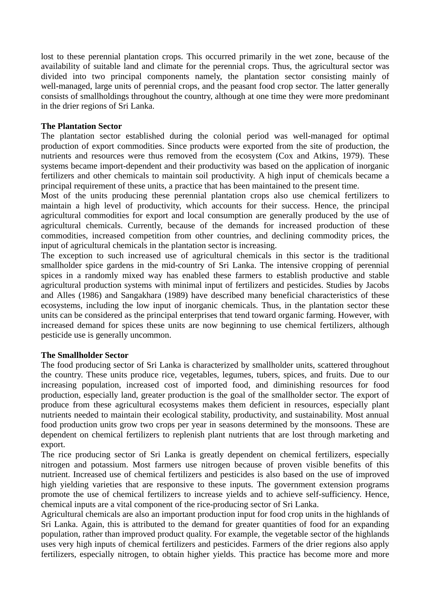lost to these perennial plantation crops. This occurred primarily in the wet zone, because of the availability of suitable land and climate for the perennial crops. Thus, the agricultural sector was divided into two principal components namely, the plantation sector consisting mainly of well-managed, large units of perennial crops, and the peasant food crop sector. The latter generally consists of smallholdings throughout the country, although at one time they were more predominant in the drier regions of Sri Lanka.

## **The Plantation Sector**

The plantation sector established during the colonial period was well-managed for optimal production of export commodities. Since products were exported from the site of production, the nutrients and resources were thus removed from the ecosystem (Cox and Atkins, 1979). These systems became import-dependent and their productivity was based on the application of inorganic fertilizers and other chemicals to maintain soil productivity. A high input of chemicals became a principal requirement of these units, a practice that has been maintained to the present time.

Most of the units producing these perennial plantation crops also use chemical fertilizers to maintain a high level of productivity, which accounts for their success. Hence, the principal agricultural commodities for export and local consumption are generally produced by the use of agricultural chemicals. Currently, because of the demands for increased production of these commodities, increased competition from other countries, and declining commodity prices, the input of agricultural chemicals in the plantation sector is increasing.

The exception to such increased use of agricultural chemicals in this sector is the traditional smallholder spice gardens in the mid-country of Sri Lanka. The intensive cropping of perennial spices in a randomly mixed way has enabled these farmers to establish productive and stable agricultural production systems with minimal input of fertilizers and pesticides. Studies by Jacobs and Alles (1986) and Sangakhara (1989) have described many beneficial characteristics of these ecosystems, including the low input of inorganic chemicals. Thus, in the plantation sector these units can be considered as the principal enterprises that tend toward organic farming. However, with increased demand for spices these units are now beginning to use chemical fertilizers, although pesticide use is generally uncommon.

#### **The Smallholder Sector**

The food producing sector of Sri Lanka is characterized by smallholder units, scattered throughout the country. These units produce rice, vegetables, legumes, tubers, spices, and fruits. Due to our increasing population, increased cost of imported food, and diminishing resources for food production, especially land, greater production is the goal of the smallholder sector. The export of produce from these agricultural ecosystems makes them deficient in resources, especially plant nutrients needed to maintain their ecological stability, productivity, and sustainability. Most annual food production units grow two crops per year in seasons determined by the monsoons. These are dependent on chemical fertilizers to replenish plant nutrients that are lost through marketing and export.

The rice producing sector of Sri Lanka is greatly dependent on chemical fertilizers, especially nitrogen and potassium. Most farmers use nitrogen because of proven visible benefits of this nutrient. Increased use of chemical fertilizers and pesticides is also based on the use of improved high yielding varieties that are responsive to these inputs. The government extension programs promote the use of chemical fertilizers to increase yields and to achieve self-sufficiency. Hence, chemical inputs are a vital component of the rice-producing sector of Sri Lanka.

Agricultural chemicals are also an important production input for food crop units in the highlands of Sri Lanka. Again, this is attributed to the demand for greater quantities of food for an expanding population, rather than improved product quality. For example, the vegetable sector of the highlands uses very high inputs of chemical fertilizers and pesticides. Farmers of the drier regions also apply fertilizers, especially nitrogen, to obtain higher yields. This practice has become more and more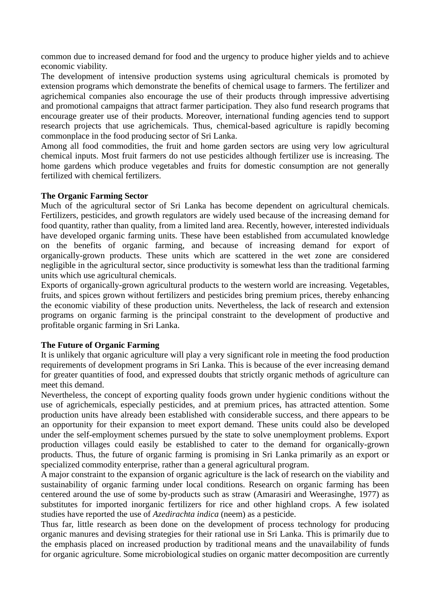common due to increased demand for food and the urgency to produce higher yields and to achieve economic viability.

The development of intensive production systems using agricultural chemicals is promoted by extension programs which demonstrate the benefits of chemical usage to farmers. The fertilizer and agrichemical companies also encourage the use of their products through impressive advertising and promotional campaigns that attract farmer participation. They also fund research programs that encourage greater use of their products. Moreover, international funding agencies tend to support research projects that use agrichemicals. Thus, chemical-based agriculture is rapidly becoming commonplace in the food producing sector of Sri Lanka.

Among all food commodities, the fruit and home garden sectors are using very low agricultural chemical inputs. Most fruit farmers do not use pesticides although fertilizer use is increasing. The home gardens which produce vegetables and fruits for domestic consumption are not generally fertilized with chemical fertilizers.

## **The Organic Farming Sector**

Much of the agricultural sector of Sri Lanka has become dependent on agricultural chemicals. Fertilizers, pesticides, and growth regulators are widely used because of the increasing demand for food quantity, rather than quality, from a limited land area. Recently, however, interested individuals have developed organic farming units. These have been established from accumulated knowledge on the benefits of organic farming, and because of increasing demand for export of organically-grown products. These units which are scattered in the wet zone are considered negligible in the agricultural sector, since productivity is somewhat less than the traditional farming units which use agricultural chemicals.

Exports of organically-grown agricultural products to the western world are increasing. Vegetables, fruits, and spices grown without fertilizers and pesticides bring premium prices, thereby enhancing the economic viability of these production units. Nevertheless, the lack of research and extension programs on organic farming is the principal constraint to the development of productive and profitable organic farming in Sri Lanka.

# **The Future of Organic Farming**

It is unlikely that organic agriculture will play a very significant role in meeting the food production requirements of development programs in Sri Lanka. This is because of the ever increasing demand for greater quantities of food, and expressed doubts that strictly organic methods of agriculture can meet this demand.

Nevertheless, the concept of exporting quality foods grown under hygienic conditions without the use of agrichemicals, especially pesticides, and at premium prices, has attracted attention. Some production units have already been established with considerable success, and there appears to be an opportunity for their expansion to meet export demand. These units could also be developed under the self-employment schemes pursued by the state to solve unemployment problems. Export production villages could easily be established to cater to the demand for organically-grown products. Thus, the future of organic farming is promising in Sri Lanka primarily as an export or specialized commodity enterprise, rather than a general agricultural program.

A major constraint to the expansion of organic agriculture is the lack of research on the viability and sustainability of organic farming under local conditions. Research on organic farming has been centered around the use of some by-products such as straw (Amarasiri and Weerasinghe, 1977) as substitutes for imported inorganic fertilizers for rice and other highland crops. A few isolated studies have reported the use of *Azedirachta indica* (neem) as a pesticide.

Thus far, little research as been done on the development of process technology for producing organic manures and devising strategies for their rational use in Sri Lanka. This is primarily due to the emphasis placed on increased production by traditional means and the unavailability of funds for organic agriculture. Some microbiological studies on organic matter decomposition are currently